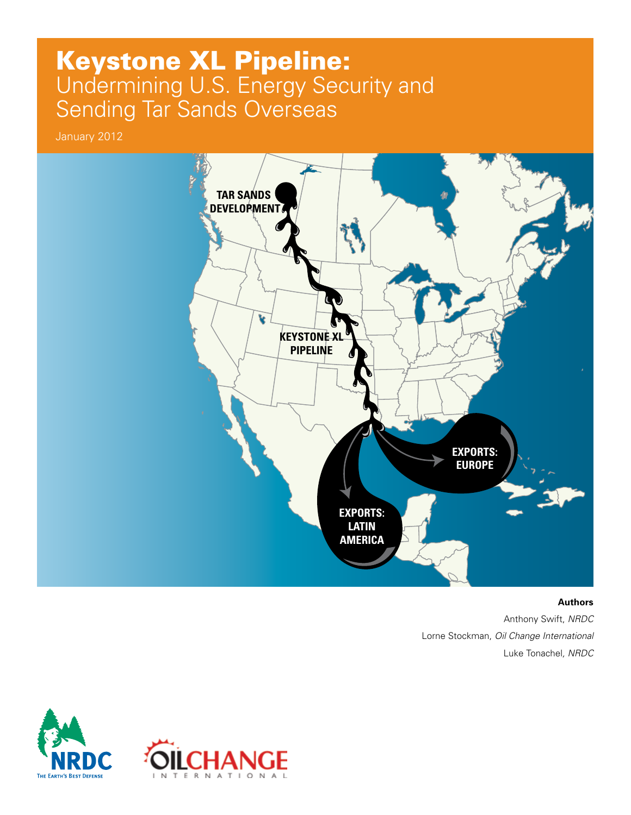## Keystone XL Pipeline: Undermining U.S. Energy Security and Sending Tar Sands Overseas

January 2012



#### **Authors**

Anthony Swift, *NRDC*  Lorne Stockman, *Oil Change International* Luke Tonachel*, NRDC*

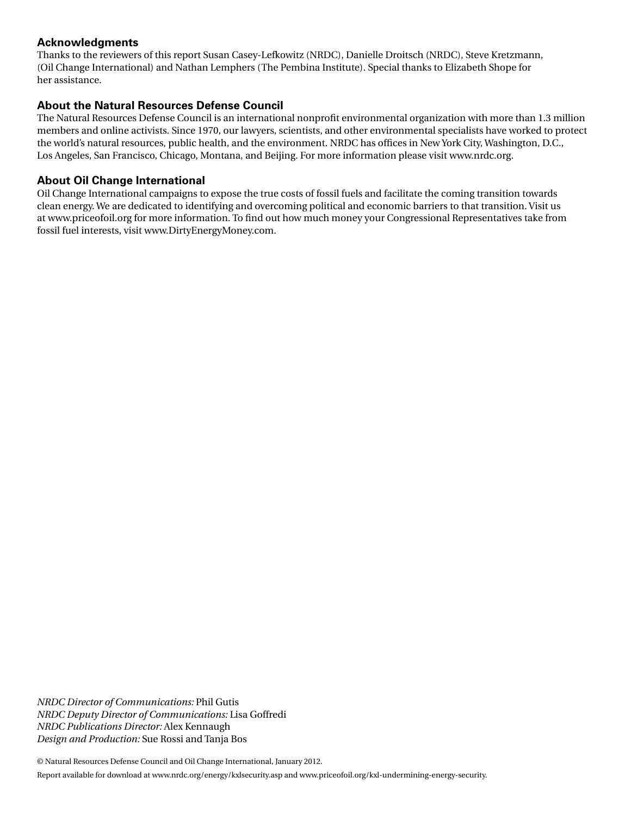#### **Acknowledgments**

Thanks to the reviewers of this report Susan Casey-Lefkowitz (NRDC), Danielle Droitsch (NRDC), Steve Kretzmann, (Oil Change International) and Nathan Lemphers (The Pembina Institute). Special thanks to Elizabeth Shope for her assistance.

#### **About the Natural Resources Defense Council**

The Natural Resources Defense Council is an international nonprofit environmental organization with more than 1.3 million members and online activists. Since 1970, our lawyers, scientists, and other environmental specialists have worked to protect the world's natural resources, public health, and the environment. NRDC has offices in New York City, Washington, D.C., Los Angeles, San Francisco, Chicago, Montana, and Beijing. For more information please visit www.nrdc.org.

#### **About Oil Change International**

Oil Change International campaigns to expose the true costs of fossil fuels and facilitate the coming transition towards clean energy. We are dedicated to identifying and overcoming political and economic barriers to that transition. Visit us at www.priceofoil.org for more information. To find out how much money your Congressional Representatives take from fossil fuel interests, visit www.DirtyEnergyMoney.com.

*NRDC Director of Communications:* Phil Gutis *NRDC Deputy Director of Communications:* Lisa Goffredi *NRDC Publications Director:* Alex Kennaugh *Design and Production:* Sue Rossi and Tanja Bos

© Natural Resources Defense Council and Oil Change International, January 2012. Report available for download at www.nrdc.org/energy/kxlsecurity.asp and www.priceofoil.org/kxl-undermining-energy-security.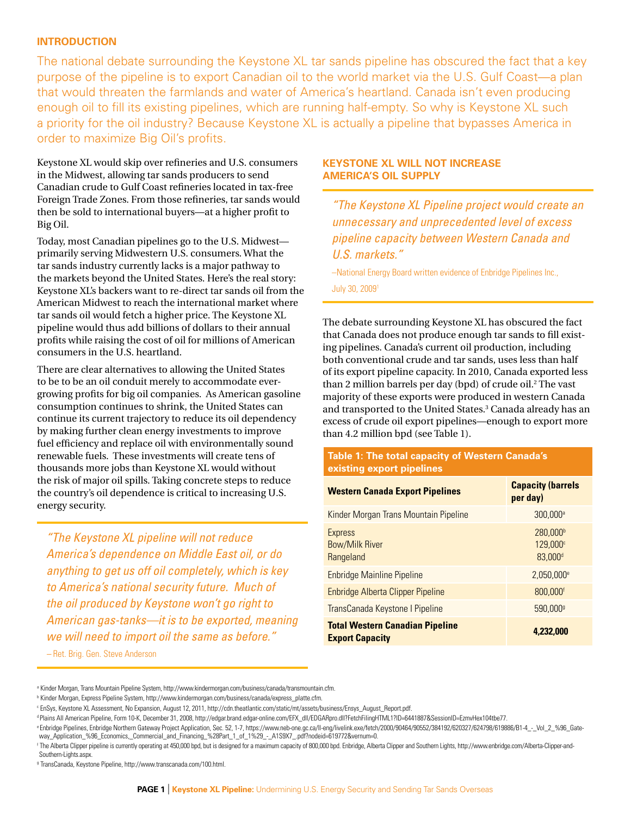#### **Introduction**

The national debate surrounding the Keystone XL tar sands pipeline has obscured the fact that a key purpose of the pipeline is to export Canadian oil to the world market via the U.S. Gulf Coast—a plan that would threaten the farmlands and water of America's heartland. Canada isn't even producing enough oil to fill its existing pipelines, which are running half-empty. So why is Keystone XL such a priority for the oil industry? Because Keystone XL is actually a pipeline that bypasses America in order to maximize Big Oil's profits.

Keystone XL would skip over refineries and U.S. consumers in the Midwest, allowing tar sands producers to send Canadian crude to Gulf Coast refineries located in tax-free Foreign Trade Zones. From those refineries, tar sands would then be sold to international buyers—at a higher profit to Big Oil.

Today, most Canadian pipelines go to the U.S. Midwest primarily serving Midwestern U.S. consumers. What the tar sands industry currently lacks is a major pathway to the markets beyond the United States. Here's the real story: Keystone XL's backers want to re-direct tar sands oil from the American Midwest to reach the international market where tar sands oil would fetch a higher price. The Keystone XL pipeline would thus add billions of dollars to their annual profits while raising the cost of oil for millions of American consumers in the U.S. heartland.

There are clear alternatives to allowing the United States to be to be an oil conduit merely to accommodate evergrowing profits for big oil companies. As American gasoline consumption continues to shrink, the United States can continue its current trajectory to reduce its oil dependency by making further clean energy investments to improve fuel efficiency and replace oil with environmentally sound renewable fuels. These investments will create tens of thousands more jobs than Keystone XL would without the risk of major oil spills. Taking concrete steps to reduce the country's oil dependence is critical to increasing U.S. energy security.

*"The Keystone XL pipeline will not reduce America's dependence on Middle East oil, or do anything to get us off oil completely, which is key to America's national security future. Much of the oil produced by Keystone won't go right to American gas-tanks—it is to be exported, meaning we will need to import oil the same as before."* 

*–* Ret. Brig. Gen. Steve Anderson

#### **Keystone XL Will Not Increase America's Oil Supply**

*"The Keystone XL Pipeline project would create an unnecessary and unprecedented level of excess pipeline capacity between Western Canada and U.S. markets."*

–National Energy Board written evidence of Enbridge Pipelines Inc., July 30, 20091

The debate surrounding Keystone XL has obscured the fact that Canada does not produce enough tar sands to fill existing pipelines. Canada's current oil production, including both conventional crude and tar sands, uses less than half of its export pipeline capacity. In 2010, Canada exported less than 2 million barrels per day (bpd) of crude oil.<sup>2</sup> The vast majority of these exports were produced in western Canada and transported to the United States.<sup>3</sup> Canada already has an excess of crude oil export pipelines—enough to export more than 4.2 million bpd (see Table 1).

#### **Table 1: The total capacity of Western Canada's existing export pipelines**

| <b>Western Canada Export Pipelines</b>                           | <b>Capacity (barrels</b><br>per day)                    |  |
|------------------------------------------------------------------|---------------------------------------------------------|--|
| Kinder Morgan Trans Mountain Pipeline                            | 300,000 <sup>a</sup>                                    |  |
| <b>Express</b><br><b>Bow/Milk River</b><br>Rangeland             | 280,000 <sup>b</sup><br>129,000c<br>83,000 <sup>d</sup> |  |
| <b>Enbridge Mainline Pipeline</b>                                | 2.050.000 <sup>e</sup>                                  |  |
| <b>Enbridge Alberta Clipper Pipeline</b>                         | 800,000f                                                |  |
| TransCanada Keystone   Pipeline                                  | 590,000 <sup>g</sup>                                    |  |
| <b>Total Western Canadian Pipeline</b><br><b>Export Capacity</b> | 4,232,000                                               |  |

a Kinder Morgan, Trans Mountain Pipeline System, http://www.kindermorgan.com/business/canada/transmountain.cfm.

b Kinder Morgan, Express Pipeline System, http://www.kindermorgan.com/business/canada/express\_platte.cfm.

c EnSys, Keystone XL Assessment, No Expansion, August 12, 2011, http://cdn.theatlantic.com/static/mt/assets/business/Ensys\_August\_Report.pdf.

d Plains All American Pipeline, Form 10-K, December 31, 2008, http://edgar.brand.edgar-online.com/EFX\_dll/EDGARpro.dll?FetchFilingHTML1?ID=6441887&SessionID=EzmvHex104tbe77.

e Enbridge Pipelines, Enbridge Northern Gateway Project Application, Sec. 52, 1-7, https://www.neb-one.gc.ca/ll-eng/livelink.exe/fetch/2000/90464/90552/384192/620327/624798/619886/B1-4\_-\_Vol\_2\_%96\_Gateway\_Application\_%96\_Economics,\_Commercial\_and\_Financing\_%28Part\_1\_of\_1%29\_-\_A1S9X7\_.pdf?nodeid=619772&vernum=0.

f The Alberta Clipper pipeline is currently operating at 450,000 bpd, but is designed for a maximum capacity of 800,000 bpd. Enbridge, Alberta Clipper and Southern Lights, http://www.enbridge.com/Alberta-Clipper-and-Southern-Lights.aspx.

g TransCanada, Keystone Pipeline, http://www.transcanada.com/100.html.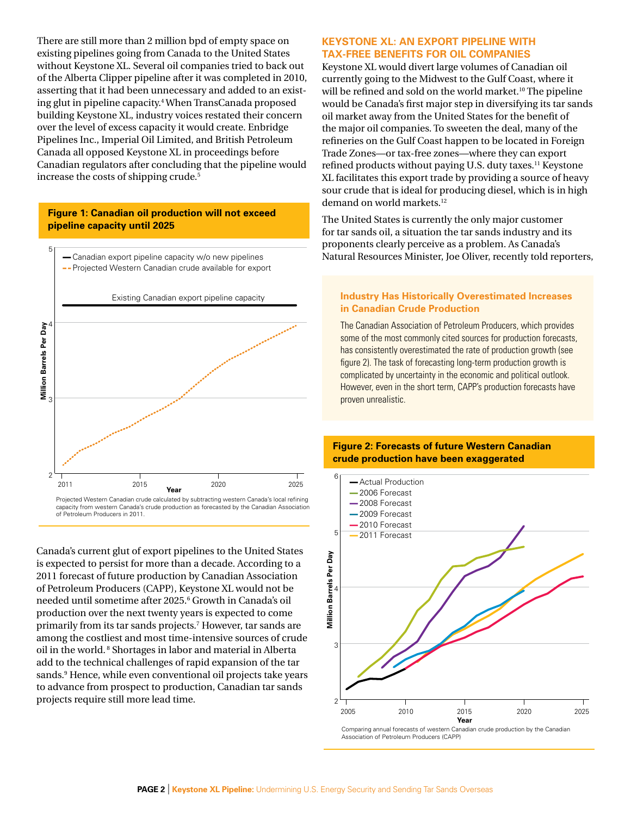There are still more than 2 million bpd of empty space on existing pipelines going from Canada to the United States without Keystone XL. Several oil companies tried to back out of the Alberta Clipper pipeline after it was completed in 2010, asserting that it had been unnecessary and added to an existing glut in pipeline capacity.4 When TransCanada proposed building Keystone XL, industry voices restated their concern over the level of excess capacity it would create. Enbridge Pipelines Inc., Imperial Oil Limited, and British Petroleum Canada all opposed Keystone XL in proceedings before Canadian regulators after concluding that the pipeline would increase the costs of shipping crude.5

#### **Figure 1: Canadian oil production will not exceed** pipeline capacity until 2025



Canada's current glut of export pipelines to the United States is expected to persist for more than a decade. According to a 2011 forecast of future production by Canadian Association of Petroleum Producers (CAPP), Keystone XL would not be needed until sometime after 2025.6 Growth in Canada's oil production over the next twenty years is expected to come primarily from its tar sands projects.7 However, tar sands are among the costliest and most time-intensive sources of crude oil in the world. 8 Shortages in labor and material in Alberta add to the technical challenges of rapid expansion of the tar sands.9 Hence, while even conventional oil projects take years to advance from prospect to production, Canadian tar sands projects require still more lead time.

# **Keystone XL: An Export Pipeline With** 1.5 **Tax-free Benefits for Oil Companies** K<br>E

Keystone XL would divert large volumes of Canadian oil currently going to the Midwest to the Gulf Coast, where it will be refined and sold on the world market.<sup>10</sup> The pipeline would be Canada's first major step in diversifying its tar sands oil market away from the United States for the benefit of the major oil companies. To sweeten the deal, many of the refineries on the Gulf Coast happen to be located in Foreign Trade Zones—or tax-free zones—where they can export refined products without paying U.S. duty taxes.<sup>11</sup> Keystone XL facilitates this export trade by providing a source of heavy sour crude that is ideal for producing diesel, which is in high demand on world markets.<sup>12</sup> in ompanies. To sweeten the deal, many of the

The United States is currently the only major customer for tar sands oil, a situation the tar sands industry and its proponents clearly perceive as a problem. As Canada's 25 Natural Resources Minister, Joe Oliver, recently told reporters, ■ Petroleum and Biofuels

#### **Industry Has Historically Overestimated Increases in Canadian Crude Production**

The Canadian Association of Petroleum Producers, which provides some of the most commonly cited sources for production forecasts, has consistently overestimated the rate of production growth (see figure 2). The task of forecasting long-term production growth is complicated by uncertainty in the economic and political outlook. However, even in the short term, CAPP's production forecasts have proven unrealistic.



#### Figure 2: Forecasts of future Western Canadian<br>exude production bays been exeggerated **crude production have been exaggerated**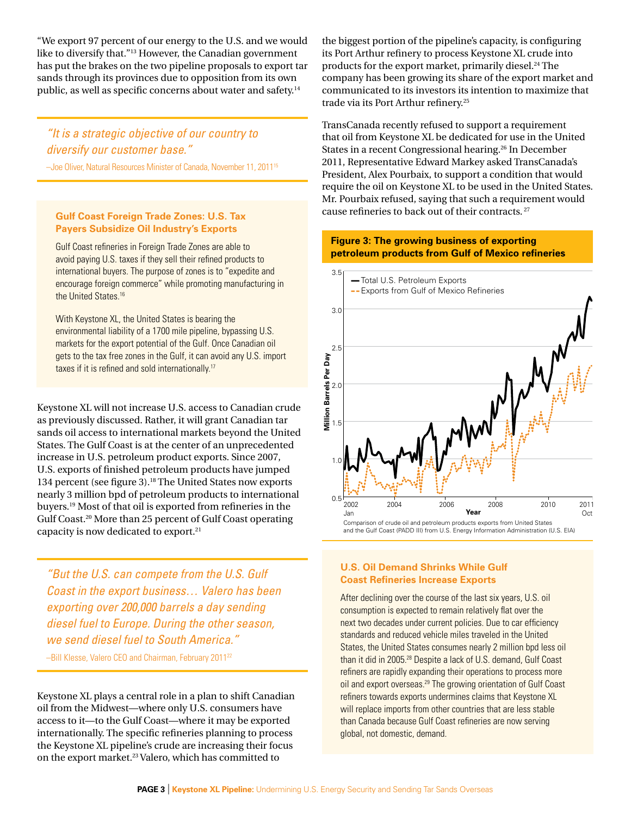"We export 97 percent of our energy to the U.S. and we would like to diversify that."13 However, the Canadian government has put the brakes on the two pipeline proposals to export tar sands through its provinces due to opposition from its own public, as well as specific concerns about water and safety.<sup>14</sup>

### *"It is a strategic objective of our country to diversify our customer base."*

–Joe Oliver, Natural Resources Minister of Canada, November 11, 201115

#### **Gulf Coast Foreign Trade Zones: U.S. Tax Payers Subsidize Oil Industry's Exports**

Gulf Coast refineries in Foreign Trade Zones are able to avoid paying U.S. taxes if they sell their refined products to international buyers. The purpose of zones is to "expedite and encourage foreign commerce" while promoting manufacturing in the United States.<sup>16</sup> and bodscrements in roleign hadd zones are able to<br>avoid naving U.S. taxes if they sell their refined products to

With Keystone XL, the United States is bearing the environmental liability of a 1700 mile pipeline, bypassing U.S. markets for the export potential of the Gulf. Once Canadian oil gets to the tax free zones in the Gulf, it can avoid any U.S. import taxes if it is refined and sold internationally.17

Keystone XL will not increase U.S. access to Canadian crude as previously discussed. Rather, it will grant Canadian tar sands oil access to international markets beyond the United States. The Gulf Coast is at the center of an unprecedented increase in U.S. petroleum product exports. Since 2007, U.S. exports of finished petroleum products have jumped 134 percent (see figure 3).<sup>18</sup> The United States now exports nearly 3 million bpd of petroleum products to international buyers.<sup>19</sup> Most of that oil is exported from refineries in the Gulf Coast.<sup>20</sup> More than 25 percent of Gulf Coast operating capacity is now dedicated to export.<sup>21</sup>  $\mathbf{A}$  association of Petroleum Producers ( $\mathbf{C}$ 

*"But the U.S. can compete from the U.S. Gulf Coast in the export business... Valero has been* exporting over 200,000 barrels a day sending *diesel fuel to Europe. During the other season,*  5 we send diesel fuel to South America." — Projected Western Canadian crude available for export

–Bill Klesse, Valero CEO and Chairman, February 201122

Keystone XL plays a central role in a plan to shift Canadian oil from the Midwest-where only U.S. consumers have access to it—to the Gulf Coast—where it may be exported internationally. The specific refineries planning to process the Keystone XL pipeline's crude are increasing their focus on the export market.23 Valero, which has committed to il<br>cont<br>he<br>m

the biggest portion of the pipeline's capacity, is configuring its Port Arthur refinery to process Keystone XL crude into products for the export market, primarily diesel.<sup>24</sup> The company has been growing its share of the export market and communicated to its investors its intention to maximize that trade via its Port Arthur refinery.25

TransCanada recently refused to support a requirement that oil from Keystone XL be dedicated for use in the United States in a recent Congressional hearing.<sup>26</sup> In December 2011, Representative Edward Markey asked TransCanada's President, Alex Pourbaix, to support a condition that would require the oil on Keystone XL to be used in the United States. Mr. Pourbaix refused, saying that such a requirement would cause refineries to back out of their contracts. 27



**Figure 3: The growing business of exporting** 



#### **U.S. Oil Demand Shrinks While Gulf Coast Refineries Increase Exports**

After declining over the course of the last six years, U.S. oil consumption is expected to remain relatively flat over the next two decades under current policies. Due to car efficiency standards and reduced vehicle miles traveled in the United States, the United States consumes nearly 2 million bpd less oil than it did in 2005.<sup>28</sup> Despite a lack of U.S. demand, Gulf Coast refiners are rapidly expanding their operations to process more oil and export overseas.29 The growing orientation of Gulf Coast refiners towards exports undermines claims that Keystone XL will replace imports from other countries that are less stable than Canada because Gulf Coast refineries are now serving global, not domestic, demand.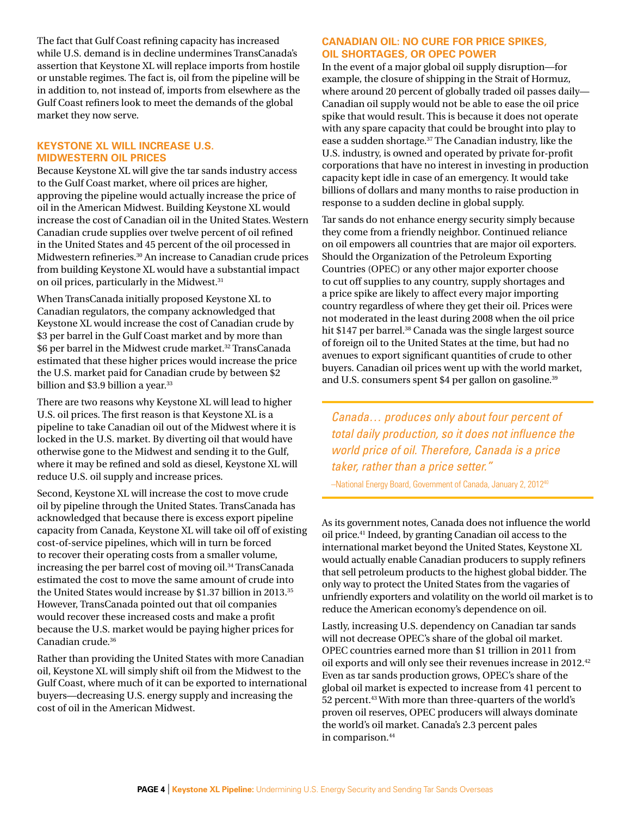The fact that Gulf Coast refining capacity has increased while U.S. demand is in decline undermines TransCanada's assertion that Keystone XL will replace imports from hostile or unstable regimes. The fact is, oil from the pipeline will be in addition to, not instead of, imports from elsewhere as the Gulf Coast refiners look to meet the demands of the global market they now serve.

#### **Keystone XL will Increase U.S. Midwestern Oil Prices**

Because Keystone XL will give the tar sands industry access to the Gulf Coast market, where oil prices are higher, approving the pipeline would actually increase the price of oil in the American Midwest. Building Keystone XL would increase the cost of Canadian oil in the United States. Western Canadian crude supplies over twelve percent of oil refined in the United States and 45 percent of the oil processed in Midwestern refineries.30 An increase to Canadian crude prices from building Keystone XL would have a substantial impact on oil prices, particularly in the Midwest.<sup>31</sup>

When TransCanada initially proposed Keystone XL to Canadian regulators, the company acknowledged that Keystone XL would increase the cost of Canadian crude by \$3 per barrel in the Gulf Coast market and by more than \$6 per barrel in the Midwest crude market.<sup>32</sup> TransCanada estimated that these higher prices would increase the price the U.S. market paid for Canadian crude by between \$2 billion and \$3.9 billion a year.<sup>33</sup>

There are two reasons why Keystone XL will lead to higher U.S. oil prices. The first reason is that Keystone XL is a pipeline to take Canadian oil out of the Midwest where it is locked in the U.S. market. By diverting oil that would have otherwise gone to the Midwest and sending it to the Gulf, where it may be refined and sold as diesel, Keystone XL will reduce U.S. oil supply and increase prices.

Second, Keystone XL will increase the cost to move crude oil by pipeline through the United States. TransCanada has acknowledged that because there is excess export pipeline capacity from Canada, Keystone XL will take oil off of existing cost-of-service pipelines, which will in turn be forced to recover their operating costs from a smaller volume, increasing the per barrel cost of moving oil.<sup>34</sup> TransCanada estimated the cost to move the same amount of crude into the United States would increase by \$1.37 billion in 2013.<sup>35</sup> However, TransCanada pointed out that oil companies would recover these increased costs and make a profit because the U.S. market would be paying higher prices for Canadian crude.<sup>36</sup>

Rather than providing the United States with more Canadian oil, Keystone XL will simply shift oil from the Midwest to the Gulf Coast, where much of it can be exported to international buyers—decreasing U.S. energy supply and increasing the cost of oil in the American Midwest.

#### **Canadian Oil: No Cure for Price Spikes, Oil Shortages, or OPEC Power**

In the event of a major global oil supply disruption—for example, the closure of shipping in the Strait of Hormuz, where around 20 percent of globally traded oil passes daily— Canadian oil supply would not be able to ease the oil price spike that would result. This is because it does not operate with any spare capacity that could be brought into play to ease a sudden shortage.<sup>37</sup> The Canadian industry, like the U.S. industry, is owned and operated by private for-profit corporations that have no interest in investing in production capacity kept idle in case of an emergency. It would take billions of dollars and many months to raise production in response to a sudden decline in global supply.

Tar sands do not enhance energy security simply because they come from a friendly neighbor. Continued reliance on oil empowers all countries that are major oil exporters. Should the Organization of the Petroleum Exporting Countries (OPEC) or any other major exporter choose to cut off supplies to any country, supply shortages and a price spike are likely to affect every major importing country regardless of where they get their oil. Prices were not moderated in the least during 2008 when the oil price hit \$147 per barrel.<sup>38</sup> Canada was the single largest source of foreign oil to the United States at the time, but had no avenues to export significant quantities of crude to other buyers. Canadian oil prices went up with the world market, and U.S. consumers spent \$4 per gallon on gasoline.<sup>39</sup>

*Canada… produces only about four percent of total daily production, so it does not influence the world price of oil. Therefore, Canada is a price taker, rather than a price setter."* 

–National Energy Board, Government of Canada, January 2, 201240

As its government notes, Canada does not influence the world oil price.41 Indeed, by granting Canadian oil access to the international market beyond the United States, Keystone XL would actually enable Canadian producers to supply refiners that sell petroleum products to the highest global bidder. The only way to protect the United States from the vagaries of unfriendly exporters and volatility on the world oil market is to reduce the American economy's dependence on oil.

Lastly, increasing U.S. dependency on Canadian tar sands will not decrease OPEC's share of the global oil market. OPEC countries earned more than \$1 trillion in 2011 from oil exports and will only see their revenues increase in 2012.42 Even as tar sands production grows, OPEC's share of the global oil market is expected to increase from 41 percent to 52 percent.<sup>43</sup> With more than three-quarters of the world's proven oil reserves, OPEC producers will always dominate the world's oil market. Canada's 2.3 percent pales in comparison.44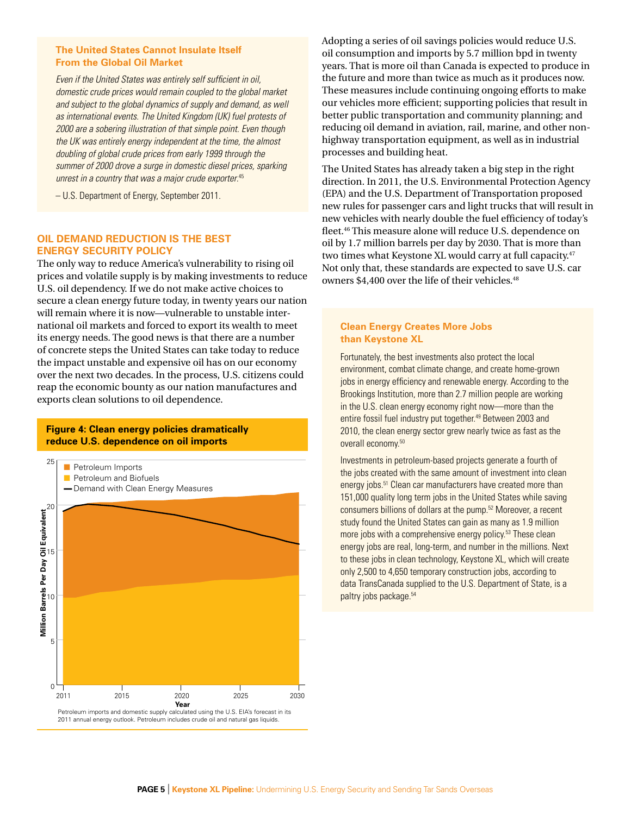#### **The United States Cannot Insulate Itself From the Global Oil Market**

*Even if the United States was entirely self sufficient in oil,*  Even mare of the crude was entirely sensumelement, the original domestic crude prices would remain coupled to the global market and subject to the global dynamics of supply and demand, as well as international events. The United Kingdom (UK) fuel protests of **2000 are a sobering illustration of that simple point. Even though** *the UK was entirely energy independent at the time, the almost doubling of global crude prices from early 1999 through the summer of 2000 drove a surge in domestic diesel prices, sparking unrest in a country that was a major crude exporter*. 45

– U.S. Department of Energy, September 2011.

# **Oil Demand Reduction Is the Best Energy Security Policy** 1.5 **Million Barrels Per Day**

The only way to reduce America's vulnerability to rising oil prices and volatile supply is by making investments to reduce U.S. oil dependency. If we do not make active choices to secure a clean energy future today, in twenty years our nation will remain where it is now—vulnerable to unstable international oil markets and forced to export its wealth to meet Its energy needs. The good news is that there are a number of concrete steps the United States can take today to reduce of concrete etept are onlined states can take today to reduce over the next two decades. In the process, U.S. citizens could reap the economic bounty as our nation manufactures and exports clean solutions to oil dependence.

#### **Figure 4: Clean energy policies dramatically** *Figure 4: Clean energy policies dramatically* **reduce U.S. dependence on oil imports**



Adopting a series of oil savings policies would reduce U.S. oil consumption and imports by 5.7 million bpd in twenty years. That is more oil than Canada is expected to produce in the future and more than twice as much as it produces now. These measures include continuing ongoing efforts to make our vehicles more efficient; supporting policies that result in better public transportation and community planning; and reducing oil demand in aviation, rail, marine, and other nonhighway transportation equipment, as well as in industrial processes and building heat.

The United States has already taken a big step in the right direction. In 2011, the U.S. Environmental Protection Agency (EPA) and the U.S. Department of Transportation proposed new rules for passenger cars and light trucks that will result in new vehicles with nearly double the fuel efficiency of today's fleet.46 This measure alone will reduce U.S. dependence on oil by 1.7 million barrels per day by 2030. That is more than two times what Keystone XL would carry at full capacity.<sup>47</sup> Not only that, these standards are expected to save U.S. car owners \$4,400 over the life of their vehicles.<sup>48</sup>

#### **Clean Energy Creates More Jobs than Keystone XL**

Fortunately, the best investments also protect the local environment, combat climate change, and create home-grown jobs in energy efficiency and renewable energy. According to the Brookings Institution, more than 2.7 million people are working in the U.S. clean energy economy right now—more than the entire fossil fuel industry put together.<sup>49</sup> Between 2003 and 2010, the clean energy sector grew nearly twice as fast as the overall economy.<sup>50</sup>

Investments in petroleum-based projects generate a fourth of the jobs created with the same amount of investment into clean energy jobs.<sup>51</sup> Clean car manufacturers have created more than 151,000 quality long term jobs in the United States while saving consumers billions of dollars at the pump.<sup>52</sup> Moreover, a recent study found the United States can gain as many as 1.9 million more jobs with a comprehensive energy policy.<sup>53</sup> These clean energy jobs are real, long-term, and number in the millions. Next to these jobs in clean technology, Keystone XL, which will create only 2,500 to 4,650 temporary construction jobs, according to data TransCanada supplied to the U.S. Department of State, is a paltry jobs package.<sup>54</sup>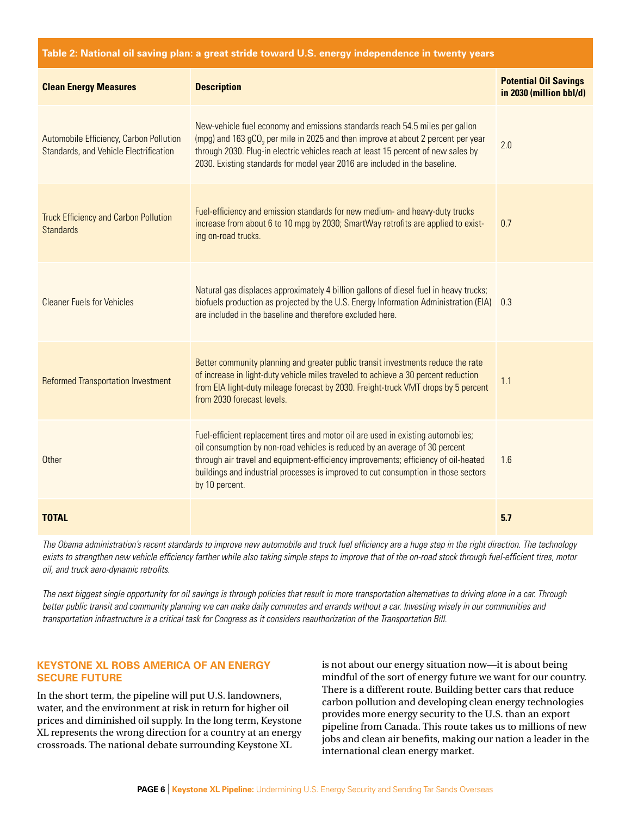|  |  |  | Table 2: National oil saving plan: a great stride toward U.S. energy independence in twenty years |
|--|--|--|---------------------------------------------------------------------------------------------------|
|--|--|--|---------------------------------------------------------------------------------------------------|

| <b>Clean Energy Measures</b>                                                      | <b>Description</b>                                                                                                                                                                                                                                                                                                                                            | <b>Potential Oil Savings</b><br>in 2030 (million bbl/d) |
|-----------------------------------------------------------------------------------|---------------------------------------------------------------------------------------------------------------------------------------------------------------------------------------------------------------------------------------------------------------------------------------------------------------------------------------------------------------|---------------------------------------------------------|
| Automobile Efficiency, Carbon Pollution<br>Standards, and Vehicle Electrification | New-vehicle fuel economy and emissions standards reach 54.5 miles per gallon<br>(mpg) and 163 gCO <sub>2</sub> per mile in 2025 and then improve at about 2 percent per year<br>through 2030. Plug-in electric vehicles reach at least 15 percent of new sales by<br>2030. Existing standards for model year 2016 are included in the baseline.               | 2.0                                                     |
| <b>Truck Efficiency and Carbon Pollution</b><br><b>Standards</b>                  | Fuel-efficiency and emission standards for new medium- and heavy-duty trucks<br>increase from about 6 to 10 mpg by 2030; SmartWay retrofits are applied to exist-<br>ing on-road trucks.                                                                                                                                                                      | 0.7                                                     |
| <b>Cleaner Fuels for Vehicles</b>                                                 | Natural gas displaces approximately 4 billion gallons of diesel fuel in heavy trucks;<br>biofuels production as projected by the U.S. Energy Information Administration (EIA)<br>are included in the baseline and therefore excluded here.                                                                                                                    | 0.3                                                     |
| <b>Reformed Transportation Investment</b>                                         | Better community planning and greater public transit investments reduce the rate<br>of increase in light-duty vehicle miles traveled to achieve a 30 percent reduction<br>from EIA light-duty mileage forecast by 2030. Freight-truck VMT drops by 5 percent<br>from 2030 forecast levels.                                                                    | 1.1                                                     |
| Other                                                                             | Fuel-efficient replacement tires and motor oil are used in existing automobiles;<br>oil consumption by non-road vehicles is reduced by an average of 30 percent<br>through air travel and equipment-efficiency improvements; efficiency of oil-heated<br>buildings and industrial processes is improved to cut consumption in those sectors<br>by 10 percent. | 1.6                                                     |
| <b>TOTAL</b>                                                                      |                                                                                                                                                                                                                                                                                                                                                               | 5.7                                                     |

*The Obama administration's recent standards to improve new automobile and truck fuel efficiency are a huge step in the right direction. The technology exists to strengthen new vehicle efficiency farther while also taking simple steps to improve that of the on-road stock through fuel-efficient tires, motor oil, and truck aero-dynamic retrofits.*

*The next biggest single opportunity for oil savings is through policies that result in more transportation alternatives to driving alone in a car. Through*  better public transit and community planning we can make daily commutes and errands without a car. Investing wisely in our communities and *transportation infrastructure is a critical task for Congress as it considers reauthorization of the Transportation Bill.*

#### **Keystone XL Robs America of an Energy Secure Future**

In the short term, the pipeline will put U.S. landowners, water, and the environment at risk in return for higher oil prices and diminished oil supply. In the long term, Keystone XL represents the wrong direction for a country at an energy crossroads. The national debate surrounding Keystone XL

is not about our energy situation now—it is about being mindful of the sort of energy future we want for our country. There is a different route. Building better cars that reduce carbon pollution and developing clean energy technologies provides more energy security to the U.S. than an export pipeline from Canada. This route takes us to millions of new jobs and clean air benefits, making our nation a leader in the international clean energy market.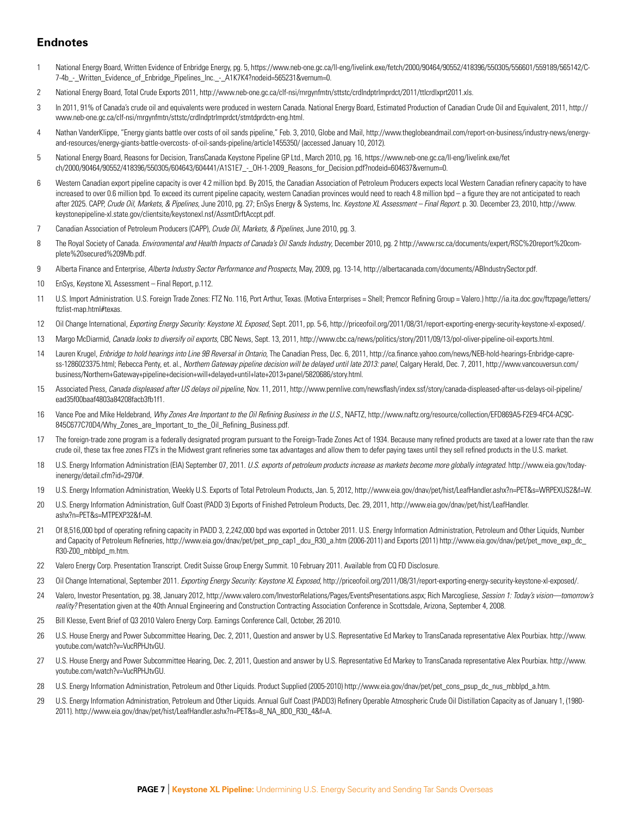#### **Endnotes**

- 1 National Energy Board, Written Evidence of Enbridge Energy, pg. 5, https://www.neb-one.gc.ca/ll-eng/livelink.exe/fetch/2000/90464/90552/418396/550305/556601/559189/565142/C-7-4b\_-\_Written\_Evidence\_of\_Enbridge\_Pipelines\_Inc.\_-\_A1K7K4?nodeid=565231&vernum=0.
- 2 National Energy Board, Total Crude Exports 2011, http://www.neb-one.gc.ca/clf-nsi/rnrgynfmtn/sttstc/crdlndptrlmprdct/2011/ttlcrdlxprt2011.xls.
- 3 In 2011, 91% of Canada's crude oil and equivalents were produced in western Canada. National Energy Board, Estimated Production of Canadian Crude Oil and Equivalent, 2011, http:// www.neb-one.gc.ca/clf-nsi/rnrgynfmtn/sttstc/crdlndptrlmprdct/stmtdprdctn-eng.html.
- 4 Nathan VanderKlippe, "Energy giants battle over costs of oil sands pipeline," Feb. 3, 2010, Globe and Mail, http://www.theglobeandmail.com/report-on-business/industry-news/energyand-resources/energy-giants-battle-overcosts- of-oil-sands-pipeline/article1455350/ (accessed January 10, 2012).
- 5 National Energy Board, Reasons for Decision, TransCanada Keystone Pipeline GP Ltd., March 2010, pg. 16, https://www.neb-one.gc.ca/ll-eng/livelink.exe/fet ch/2000/90464/90552/418396/550305/604643/604441/A1S1E7\_-\_OH-1-2009\_Reasons\_for\_Decision.pdf?nodeid=604637&vernum=0.
- 6 Western Canadian export pipeline capacity is over 4.2 million bpd. By 2015, the Canadian Association of Petroleum Producers expects local Western Canadian refinery capacity to have increased to over 0.6 million bpd. To exceed its current pipeline capacity, western Canadian provinces would need to reach 4.8 million bpd – a figure they are not anticipated to reach after 2025. CAPP, *Crude Oil, Markets, & Pipelines*, June 2010, pg. 27; EnSys Energy & Systems, Inc. *Keystone XL Assessment – Final Report*. p. 30. December 23, 2010, http://www. keystonepipeline-xl.state.gov/clientsite/keystonexl.nsf/AssmtDrftAccpt.pdf.
- 7 Canadian Association of Petroleum Producers (CAPP), *Crude Oil, Markets, & Pipelines*, June 2010, pg. 3.
- 8 The Royal Society of Canada. *Environmental and Health Impacts of Canada's Oil Sands Industry*, December 2010, pg. 2 http://www.rsc.ca/documents/expert/RSC%20report%20complete%20secured%209Mb.pdf.
- 9 Alberta Finance and Enterprise, *Alberta Industry Sector Performance and Prospects*, May, 2009, pg. 13-14, http://albertacanada.com/documents/ABIndustrySector.pdf.
- 10 EnSys, Keystone XL Assessment Final Report, p.112.
- 11 U.S. Import Administration. U.S. Foreign Trade Zones: FTZ No. 116, Port Arthur, Texas. (Motiva Enterprises = Shell; Premcor Refining Group = Valero.) http://ia.ita.doc.gov/ftzpage/letters/ ftzlist-map.html#texas.
- 12 Oil Change International, *Exporting Energy Security: Keystone XL Exposed*, Sept. 2011, pp. 5-6, http://priceofoil.org/2011/08/31/report-exporting-energy-security-keystone-xl-exposed/.
- 13 Margo McDiarmid, *Canada looks to diversify oil exports*, CBC News, Sept. 13, 2011, http://www.cbc.ca/news/politics/story/2011/09/13/pol-oliver-pipeline-oil-exports.html.
- 14 Lauren Krugel, *Enbridge to hold hearings into Line 9B Reversal in Ontario*, The Canadian Press, Dec. 6, 2011, http://ca.finance.yahoo.com/news/NEB-hold-hearings-Enbridge-capress-1286023375.html; Rebecca Penty, et. al., *Northern Gateway pipeline decision will be delayed until late 2013: panel*, Calgary Herald, Dec. 7, 2011, http://www.vancouversun.com/ business/Northern+Gateway+pipeline+decision+will+delayed+until+late+2013+panel/5820686/story.html.
- 15 Associated Press, *Canada displeased after US delays oil pipeline*, Nov. 11, 2011, http://www.pennlive.com/newsflash/index.ssf/story/canada-displeased-after-us-delays-oil-pipeline/ ead35f00baaf4803a84208facb3fb1f1.
- 16 Vance Poe and Mike Heldebrand, *Why Zones Are Important to the Oil Refining Business in the U.S.,* NAFTZ, http://www.naftz.org/resource/collection/EFD869A5-F2E9-4FC4-AC9C-845C677C70D4/Why\_Zones\_are\_Important\_to\_the\_Oil\_Refining\_Business.pdf.
- 17 The foreign-trade zone program is a federally designated program pursuant to the Foreign-Trade Zones Act of 1934. Because many refined products are taxed at a lower rate than the raw crude oil, these tax free zones FTZ's in the Midwest grant refineries some tax advantages and allow them to defer paying taxes until they sell refined products in the U.S. market.
- 18 U.S. Energy Information Administration (EIA) September 07, 2011. *U.S. exports of petroleum products increase as markets become more globally integrated*. http://www.eia.gov/todayinenergy/detail.cfm?id=2970#.
- 19 U.S. Energy Information Administration, Weekly U.S. Exports of Total Petroleum Products, Jan. 5, 2012, http://www.eia.gov/dnav/pet/hist/LeafHandler.ashx?n=PET&s=WRPEXUS2&f=W.
- 20 U.S. Energy Information Administration, Gulf Coast (PADD 3) Exports of Finished Petroleum Products, Dec. 29, 2011, http://www.eia.gov/dnav/pet/hist/LeafHandler. ashx?n=PET&s=MTPEXP32&f=M.
- 21 Of 8,516,000 bpd of operating refining capacity in PADD 3, 2,242,000 bpd was exported in October 2011. U.S. Energy Information Administration, Petroleum and Other Liquids, Number and Capacity of Petroleum Refineries, http://www.eia.gov/dnav/pet/pet\_pnp\_cap1\_dcu\_R30\_a.htm (2006-2011) and Exports (2011) http://www.eia.gov/dnav/pet/pet\_move\_exp\_dc\_ R30-Z00\_mbblpd\_m.htm.
- 22 Valero Energy Corp. Presentation Transcript. Credit Suisse Group Energy Summit. 10 February 2011. Available from CQ FD Disclosure.
- 23 Oil Change International, September 2011. *Exporting Energy Security: Keystone XL Exposed*, http://priceofoil.org/2011/08/31/report-exporting-energy-security-keystone-xl-exposed/.
- 24 Valero, Investor Presentation, pg. 38, January 2012, http://www.valero.com/InvestorRelations/Pages/EventsPresentations.aspx; Rich Marcogliese, *Session 1: Today's vision—tomorrow's reality?* Presentation given at the 40th Annual Engineering and Construction Contracting Association Conference in Scottsdale, Arizona, September 4, 2008.
- 25 Bill Klesse, Event Brief of Q3 2010 Valero Energy Corp. Earnings Conference Call, October, 26 2010.
- 26 U.S. House Energy and Power Subcommittee Hearing, Dec. 2, 2011, Question and answer by U.S. Representative Ed Markey to TransCanada representative Alex Pourbiax. http://www. youtube.com/watch?v=VucRPHJtvGU.
- 27 U.S. House Energy and Power Subcommittee Hearing, Dec. 2, 2011, Question and answer by U.S. Representative Ed Markey to TransCanada representative Alex Pourbiax. http://www. youtube.com/watch?v=VucRPHJtvGU.
- 28 U.S. Energy Information Administration, Petroleum and Other Liquids. Product Supplied (2005-2010) http://www.eia.gov/dnav/pet/pet\_cons\_psup\_dc\_nus\_mbblpd\_a.htm.
- 29 U.S. Energy Information Administration, Petroleum and Other Liquids. Annual Gulf Coast (PADD3) Refinery Operable Atmospheric Crude Oil Distillation Capacity as of January 1, (1980-2011). http://www.eia.gov/dnav/pet/hist/LeafHandler.ashx?n=PET&s=8\_NA\_8D0\_R30\_4&f=A.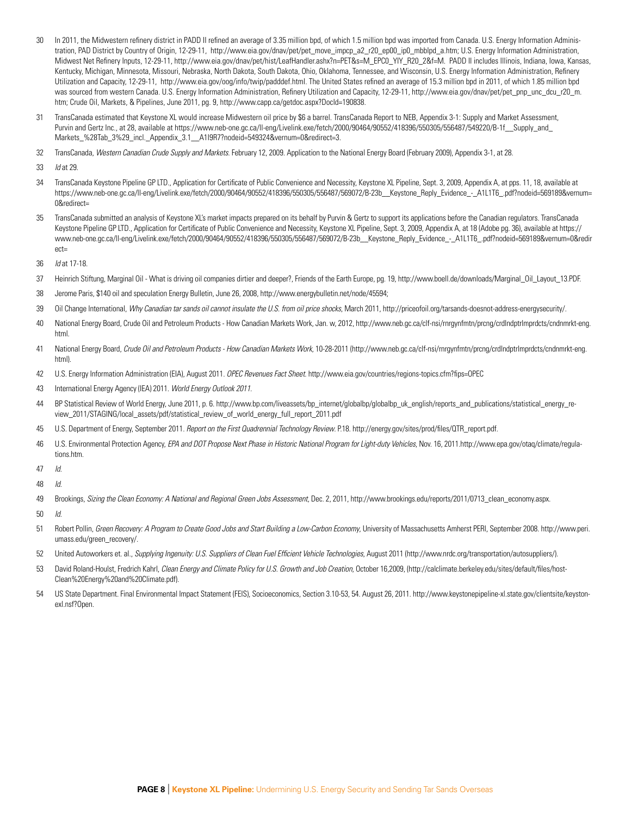- 30 In 2011, the Midwestern refinery district in PADD II refined an average of 3.35 million bpd, of which 1.5 million bpd was imported from Canada. U.S. Energy Information Administration, PAD District by Country of Origin, 12-29-11, http://www.eia.gov/dnav/pet/pet\_move\_impcp\_a2\_r20\_ep00\_ip0\_mbblpd\_a.htm; U.S. Energy Information Administration, Midwest Net Refinery Inputs, 12-29-11, http://www.eia.gov/dnav/pet/hist/LeafHandler.ashx?n=PET&s=M\_EPC0\_YIY\_R20\_2&f=M. PADD II includes Illinois, Indiana, Iowa, Kansas, Kentucky, Michigan, Minnesota, Missouri, Nebraska, North Dakota, South Dakota, Ohio, Oklahoma, Tennessee, and Wisconsin, U.S. Energy Information Administration, Refinery Utilization and Capacity, 12-29-11, http://www.eia.gov/oog/info/twip/padddef.html. The United States refined an average of 15.3 million bpd in 2011, of which 1.85 million bpd was sourced from western Canada. U.S. Energy Information Administration, Refinery Utilization and Capacity, 12-29-11, http://www.eia.gov/dnav/pet/pet\_pnp\_unc\_dcu\_r20\_m. htm; Crude Oil, Markets, & Pipelines, June 2011, pg. 9, http://www.capp.ca/getdoc.aspx?DocId=190838.
- 31 TransCanada estimated that Keystone XL would increase Midwestern oil price by \$6 a barrel. TransCanada Report to NEB, Appendix 3-1: Supply and Market Assessment, Purvin and Gertz Inc., at 28, available at https://www.neb-one.gc.ca/II-eng/Livelink.exe/fetch/2000/90464/90552/418396/550305/556487/549220/B-1f\_Supply\_and\_ Markets %28Tab 3%29 incl. Appendix 3.1 A1I9R7?nodeid=549324&vernum=0&redirect=3.
- 32 TransCanada, *Western Canadian Crude Supply and Markets*. February 12, 2009. Application to the National Energy Board (February 2009), Appendix 3-1, at 28.
- 33 *Id* at 29.
- 34 TransCanada Keystone Pipeline GP LTD., Application for Certificate of Public Convenience and Necessity, Keystone XL Pipeline, Sept. 3, 2009, Appendix A, at pps. 11, 18, available at https://www.neb-one.gc.ca/ll-eng/Livelink.exe/fetch/2000/90464/90552/418396/550305/556487/569072/B-23b\_\_Keystone\_Reply\_Evidence\_-\_A1L1T6\_.pdf?nodeid=569189&vernum= 0&redirect=
- 35 TransCanada submitted an analysis of Keystone XL's market impacts prepared on its behalf by Purvin & Gertz to support its applications before the Canadian regulators. TransCanada Keystone Pipeline GP LTD., Application for Certificate of Public Convenience and Necessity, Keystone XL Pipeline, Sept. 3, 2009, Appendix A, at 18 (Adobe pg. 36), available at https:// www.neb-one.gc.ca/ll-eng/Livelink.exe/fetch/2000/90464/90552/418396/550305/556487/569072/B-23b\_\_Keystone\_Reply\_Evidence\_-\_A1L1T6\_.pdf?nodeid=569189&vernum=0&redir ect=
- 36 *Id* at 17-18.
- 37 Heinrich Stiftung, Marginal Oil What is driving oil companies dirtier and deeper?, Friends of the Earth Europe, pg. 19, http://www.boell.de/downloads/Marginal\_Oil\_Layout\_13.PDF.
- 38 Jerome Paris, \$140 oil and speculation Energy Bulletin, June 26, 2008, http://www.energybulletin.net/node/45594;
- 39 Oil Change International, *Why Canadian tar sands oil cannot insulate the U.S. from oil price shocks*, March 2011, http://priceofoil.org/tarsands-doesnot-address-energysecurity/.
- 40 National Energy Board, Crude Oil and Petroleum Products How Canadian Markets Work, Jan. w, 2012, http://www.neb.gc.ca/clf-nsi/rnrgynfmtn/prcng/crdlndptrlmprdcts/cndnmrkt-eng. html.
- 41 National Energy Board, *Crude Oil and Petroleum Products How Canadian Markets Work*, 10-28-2011 (http://www.neb.gc.ca/clf-nsi/rnrgynfmtn/prcng/crdlndptrlmprdcts/cndnmrkt-eng. html).
- 42 U.S. Energy Information Administration (EIA), August 2011. *OPEC Revenues Fact Sheet*. http://www.eia.gov/countries/regions-topics.cfm?fips=OPEC
- 43 International Energy Agency (IEA) 2011. *World Energy Outlook 2011*.
- 44 BP Statistical Review of World Energy, June 2011, p. 6. http://www.bp.com/liveassets/bp\_internet/globalbp/globalbp\_uk\_english/reports\_and\_publications/statistical\_energy\_review\_2011/STAGING/local\_assets/pdf/statistical\_review\_of\_world\_energy\_full\_report\_2011.pdf
- 45 U.S. Department of Energy, September 2011. *Report on the First Quadrennial Technology Review*. P.18. http://energy.gov/sites/prod/files/QTR\_report.pdf.
- 46 U.S. Environmental Protection Agency, *EPA and DOT Propose Next Phase in Historic National Program for Light-duty Vehicles*, Nov. 16, 2011.http://www.epa.gov/otaq/climate/regulations.htm.
- 47 *Id.*
- 48 *Id.*
- 49 Brookings, *Sizing the Clean Economy: A National and Regional Green Jobs Assessment*, Dec. 2, 2011, http://www.brookings.edu/reports/2011/0713\_clean\_economy.aspx.
- 50 *Id.*
- 51 Robert Pollin, *Green Recovery: A Program to Create Good Jobs and Start Building a Low-Carbon Economy*, University of Massachusetts Amherst PERI, September 2008. http://www.peri. umass.edu/green\_recovery/.
- 52 United Autoworkers et. al., *Supplying Ingenuity: U.S. Suppliers of Clean Fuel Efficient Vehicle Technologies*, August 2011 (http://www.nrdc.org/transportation/autosuppliers/).
- 53 David Roland-Houlst, Fredrich Kahrl, *Clean Energy and Climate Policy for U.S. Growth and Job Creation*, October 16,2009, (http://calclimate.berkeley.edu/sites/default/files/host-Clean%20Energy%20and%20Climate.pdf).
- 54 US State Department. Final Environmental Impact Statement (FEIS), Socioeconomics, Section 3.10-53, 54. August 26, 2011. http://www.keystonepipeline-xl.state.gov/clientsite/keystonexl.nsf?Open.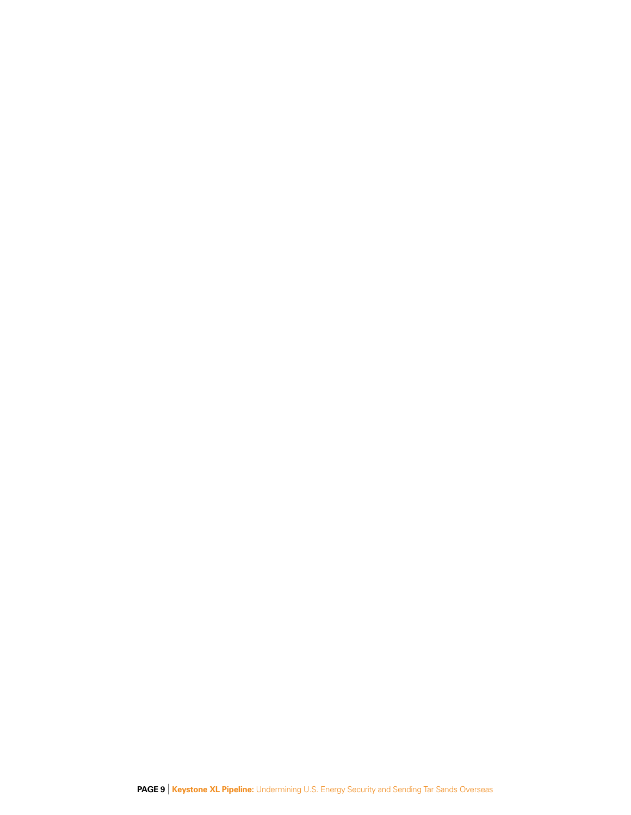**PAGE 9 | Keystone XL Pipeline:** Undermining U.S. Energy Security and Sending Tar Sands Overseas